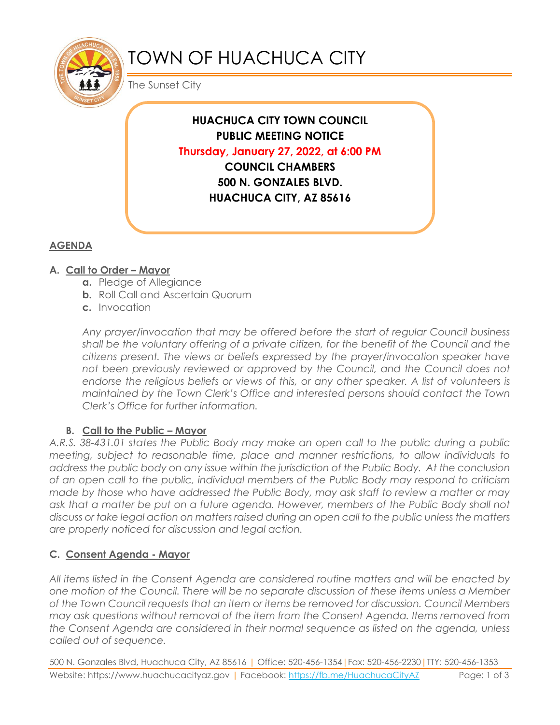

# TOWN OF HUACHUCA CITY

The Sunset City

**HUACHUCA CITY TOWN COUNCIL PUBLIC MEETING NOTICE Thursday, January 27, 2022, at 6:00 PM COUNCIL CHAMBERS 500 N. GONZALES BLVD. HUACHUCA CITY, AZ 85616**

# **AGENDA**

## **A. Call to Order – Mayor**

- **a.** Pledge of Allegiance
- **b.** Roll Call and Ascertain Quorum
- **c.** Invocation

*Any prayer/invocation that may be offered before the start of regular Council business shall be the voluntary offering of a private citizen, for the benefit of the Council and the citizens present. The views or beliefs expressed by the prayer/invocation speaker have*  not been previously reviewed or approved by the Council, and the Council does not endorse the religious beliefs or views of this, or any other speaker. A list of volunteers is *maintained by the Town Clerk's Office and interested persons should contact the Town Clerk's Office for further information.*

## **B.** Call to the Public – Mayor

*A.R.S. 38-431.01 states the Public Body may make an open call to the public during a public meeting, subject to reasonable time, place and manner restrictions, to allow individuals to address the public body on any issue within the jurisdiction of the Public Body. At the conclusion of an open call to the public, individual members of the Public Body may respond to criticism made by those who have addressed the Public Body, may ask staff to review a matter or may*  ask that a matter be put on a future agenda. However, members of the Public Body shall not *discuss or take legal action on matters raised during an open call to the public unless the matters are properly noticed for discussion and legal action.*

## **C. Consent Agenda - Mayor**

*All items listed in the Consent Agenda are considered routine matters and will be enacted by one motion of the Council. There will be no separate discussion of these items unless a Member of the Town Council requests that an item or items be removed for discussion. Council Members may ask questions without removal of the item from the Consent Agenda. Items removed from the Consent Agenda are considered in their normal sequence as listed on the agenda, unless called out of sequence.*

500 N. Gonzales Blvd, Huachuca City, AZ 85616 | Office: 520-456-1354|Fax: 520-456-2230|TTY: 520-456-1353 Website: https://www.huachucacityaz.gov | Facebook:<https://fb.me/HuachucaCityAZ> Page: 1 of 3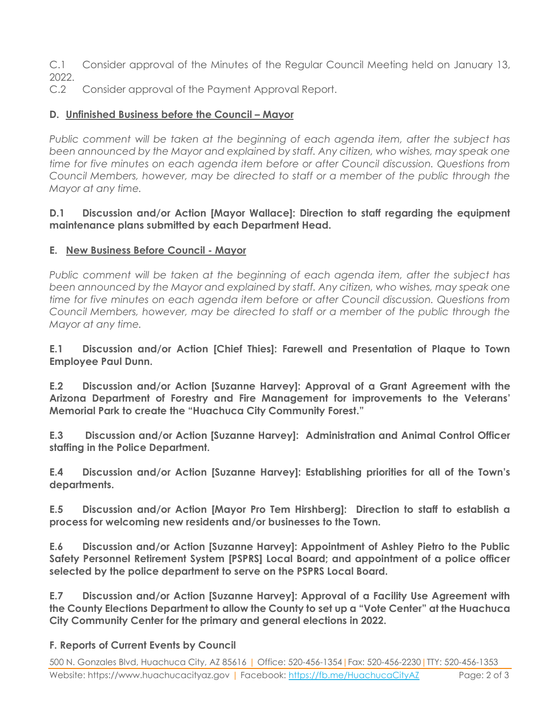C.1 Consider approval of the Minutes of the Regular Council Meeting held on January 13, 2022.

C.2 Consider approval of the Payment Approval Report.

## **D.** Unfinished Business before the Council – Mayor

*Public comment will be taken at the beginning of each agenda item, after the subject has been announced by the Mayor and explained by staff. Any citizen, who wishes, may speak one time for five minutes on each agenda item before or after Council discussion. Questions from Council Members, however, may be directed to staff or a member of the public through the Mayor at any time.*

#### **D.1 Discussion and/or Action [Mayor Wallace]: Direction to staff regarding the equipment maintenance plans submitted by each Department Head.**

#### **E. New Business Before Council - Mayor**

*Public comment will be taken at the beginning of each agenda item, after the subject has been announced by the Mayor and explained by staff. Any citizen, who wishes, may speak one time for five minutes on each agenda item before or after Council discussion. Questions from Council Members, however, may be directed to staff or a member of the public through the Mayor at any time.* 

**E.1 Discussion and/or Action [Chief Thies]: Farewell and Presentation of Plaque to Town Employee Paul Dunn.**

**E.2 Discussion and/or Action [Suzanne Harvey]: Approval of a Grant Agreement with the Arizona Department of Forestry and Fire Management for improvements to the Veterans' Memorial Park to create the "Huachuca City Community Forest."**

**E.3 Discussion and/or Action [Suzanne Harvey]: Administration and Animal Control Officer staffing in the Police Department.**

**E.4 Discussion and/or Action [Suzanne Harvey]: Establishing priorities for all of the Town's departments.**

**E.5 Discussion and/or Action [Mayor Pro Tem Hirshberg]: Direction to staff to establish a process for welcoming new residents and/or businesses to the Town.** 

**E.6 Discussion and/or Action [Suzanne Harvey]: Appointment of Ashley Pietro to the Public Safety Personnel Retirement System [PSPRS] Local Board; and appointment of a police officer selected by the police department to serve on the PSPRS Local Board.** 

**E.7 Discussion and/or Action [Suzanne Harvey]: Approval of a Facility Use Agreement with the County Elections Department to allow the County to set up a "Vote Center" at the Huachuca City Community Center for the primary and general elections in 2022.** 

#### **F. Reports of Current Events by Council**